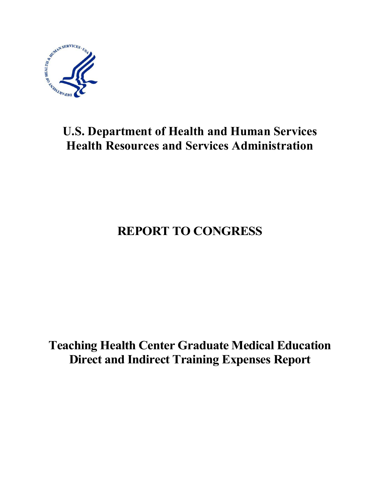

# **U.S. Department of Health and Human Services Health Resources and Services Administration**

# **REPORT TO CONGRESS**

**Teaching Health Center Graduate Medical Education Direct and Indirect Training Expenses Report**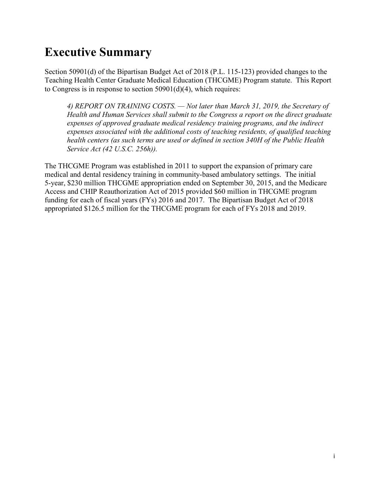# <span id="page-1-0"></span>**Executive Summary**

Section 50901(d) of the Bipartisan Budget Act of 2018 (P.L. 115-123) provided changes to the Teaching Health Center Graduate Medical Education (THCGME) Program statute. This Report to Congress is in response to section 50901(d)(4), which requires:

*4) REPORT ON TRAINING COSTS. — Not later than March 31, 2019, the Secretary of Health and Human Services shall submit to the Congress a report on the direct graduate expenses of approved graduate medical residency training programs, and the indirect expenses associated with the additional costs of teaching residents, of qualified teaching health centers (as such terms are used or defined in section 340H of the Public Health Service Act (42 U.S.C. 256h)).*

The THCGME Program was established in 2011 to support the expansion of primary care medical and dental residency training in community-based ambulatory settings. The initial 5-year, \$230 million THCGME appropriation ended on September 30, 2015, and the Medicare Access and CHIP Reauthorization Act of 2015 provided \$60 million in THCGME program funding for each of fiscal years (FYs) 2016 and 2017. The Bipartisan Budget Act of 2018 appropriated \$126.5 million for the THCGME program for each of FYs 2018 and 2019.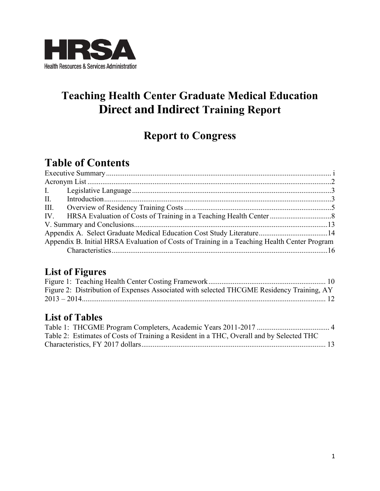

# **Teaching Health Center Graduate Medical Education Direct and Indirect Training Report**

## **Report to Congress**

## **Table of Contents**

| III. |                                                                                              |  |
|------|----------------------------------------------------------------------------------------------|--|
|      |                                                                                              |  |
|      |                                                                                              |  |
|      |                                                                                              |  |
|      | Appendix B. Initial HRSA Evaluation of Costs of Training in a Teaching Health Center Program |  |
|      |                                                                                              |  |

#### **List of Figures**

| Figure 2: Distribution of Expenses Associated with selected THCGME Residency Training, AY |  |
|-------------------------------------------------------------------------------------------|--|
|                                                                                           |  |
|                                                                                           |  |

### **List of Tables**

| Table 2: Estimates of Costs of Training a Resident in a THC, Overall and by Selected THC |  |
|------------------------------------------------------------------------------------------|--|
|                                                                                          |  |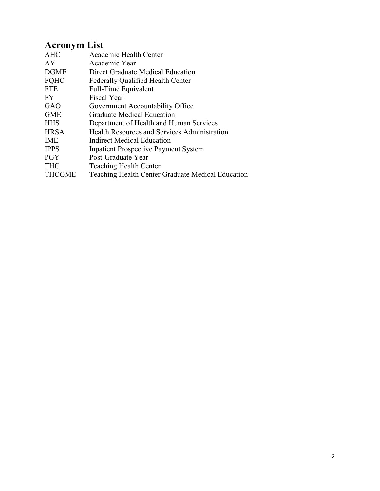### <span id="page-3-0"></span>**Acronym List**

| <b>AHC</b>    | Academic Health Center                            |
|---------------|---------------------------------------------------|
| AY            | Academic Year                                     |
| <b>DGME</b>   | Direct Graduate Medical Education                 |
| <b>FQHC</b>   | <b>Federally Qualified Health Center</b>          |
| <b>FTE</b>    | Full-Time Equivalent                              |
| FY.           | <b>Fiscal Year</b>                                |
| GAO           | Government Accountability Office                  |
| <b>GME</b>    | <b>Graduate Medical Education</b>                 |
| <b>HHS</b>    | Department of Health and Human Services           |
| <b>HRSA</b>   | Health Resources and Services Administration      |
| <b>IME</b>    | Indirect Medical Education                        |
| <b>IPPS</b>   | <b>Inpatient Prospective Payment System</b>       |
| <b>PGY</b>    | Post-Graduate Year                                |
| <b>THC</b>    | <b>Teaching Health Center</b>                     |
| <b>THCGME</b> | Teaching Health Center Graduate Medical Education |
|               |                                                   |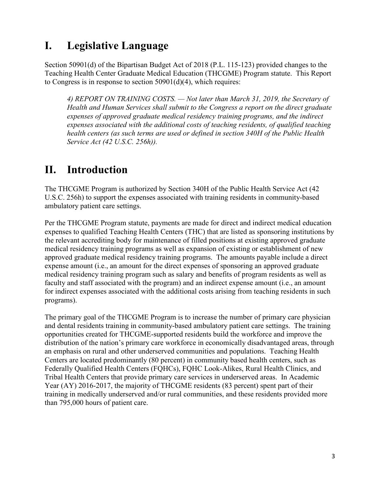### <span id="page-4-0"></span>**I. Legislative Language**

Section 50901(d) of the Bipartisan Budget Act of 2018 (P.L. 115-123) provided changes to the Teaching Health Center Graduate Medical Education (THCGME) Program statute. This Report to Congress is in response to section 50901(d)(4), which requires:

*4) REPORT ON TRAINING COSTS. — Not later than March 31, 2019, the Secretary of Health and Human Services shall submit to the Congress a report on the direct graduate expenses of approved graduate medical residency training programs, and the indirect expenses associated with the additional costs of teaching residents, of qualified teaching health centers (as such terms are used or defined in section 340H of the Public Health Service Act (42 U.S.C. 256h)).*

### <span id="page-4-1"></span>**II. Introduction**

The THCGME Program is authorized by Section 340H of the Public Health Service Act (42 U.S.C. 256h) to support the expenses associated with training residents in community-based ambulatory patient care settings.

Per the THCGME Program statute, payments are made for direct and indirect medical education expenses to qualified Teaching Health Centers (THC) that are listed as sponsoring institutions by the relevant accrediting body for maintenance of filled positions at existing approved graduate medical residency training programs as well as expansion of existing or establishment of new approved graduate medical residency training programs. The amounts payable include a direct expense amount (i.e., an amount for the direct expenses of sponsoring an approved graduate medical residency training program such as salary and benefits of program residents as well as faculty and staff associated with the program) and an indirect expense amount (i.e., an amount for indirect expenses associated with the additional costs arising from teaching residents in such programs).

The primary goal of the THCGME Program is to increase the number of primary care physician and dental residents training in community-based ambulatory patient care settings. The training opportunities created for THCGME-supported residents build the workforce and improve the distribution of the nation's primary care workforce in economically disadvantaged areas, through an emphasis on rural and other underserved communities and populations. Teaching Health Centers are located predominantly (80 percent) in community based health centers, such as Federally Qualified Health Centers (FQHCs), FQHC Look-Alikes, Rural Health Clinics, and Tribal Health Centers that provide primary care services in underserved areas. In Academic Year (AY) 2016-2017, the majority of THCGME residents (83 percent) spent part of their training in medically underserved and/or rural communities, and these residents provided more than 795,000 hours of patient care.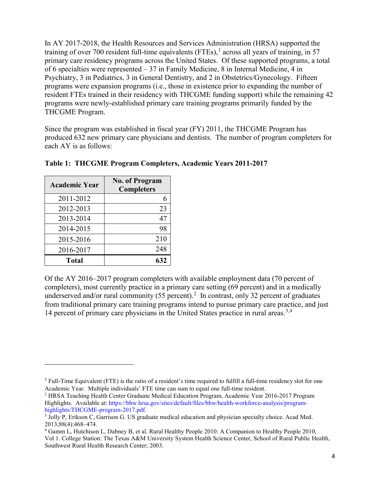In AY 2017-2018, the Health Resources and Services Administration (HRSA) supported the training of over 700 resident full-time equivalents  $(FTEs)$ ,<sup>[1](#page-5-0)</sup> across all years of training, in 57 primary care residency programs across the United States. Of these supported programs, a total of 6 specialties were represented – 37 in Family Medicine, 8 in Internal Medicine, 4 in Psychiatry, 3 in Pediatrics, 3 in General Dentistry, and 2 in Obstetrics/Gynecology. Fifteen programs were expansion programs (i.e., those in existence prior to expanding the number of resident FTEs trained in their residency with THCGME funding support) while the remaining 42 programs were newly-established primary care training programs primarily funded by the THCGME Program.

Since the program was established in fiscal year (FY) 2011, the THCGME Program has produced 632 new primary care physicians and dentists. The number of program completers for each AY is as follows:

| <b>Academic Year</b> | <b>No. of Program</b><br><b>Completers</b> |
|----------------------|--------------------------------------------|
| 2011-2012            | 6                                          |
| 2012-2013            | 23                                         |
| 2013-2014            | 47                                         |
| 2014-2015            | 98                                         |
| 2015-2016            | 210                                        |
| 2016-2017            | 248                                        |
| <b>Total</b>         | 632                                        |

 $\overline{a}$ 

**Table 1: THCGME Program Completers, Academic Years 2011-2017** 

Of the AY 2016–2017 program completers with available employment data (70 percent of completers), most currently practice in a primary care setting (69 percent) and in a medically underserved and/or rural community (55 percent).<sup>[2](#page-5-1)</sup> In contrast, only 32 percent of graduates from traditional primary care training programs intend to pursue primary care practice, and just 14 percent of primary care physicians in the United States practice in rural areas.<sup>[3](#page-5-2),[4](#page-5-3)</sup>

<span id="page-5-0"></span><sup>1</sup> Full-Time Equivalent (FTE) is the ratio of a resident's time required to fulfill a full-time residency slot for one Academic Year. Multiple individuals' FTE time can sum to equal one full-time resident.

<span id="page-5-1"></span><sup>2</sup> HRSA Teaching Health Center Graduate Medical Education Program, Academic Year 2016-2017 Program Highlights. Available at[: https://bhw.hrsa.gov/sites/default/files/bhw/health-workforce-analysis/program](https://bhw.hrsa.gov/sites/default/files/bhw/health-workforce-analysis/program-highlights/THCGME-program-2017.pdf)[highlights/THCGME-program-2017.pdf.](https://bhw.hrsa.gov/sites/default/files/bhw/health-workforce-analysis/program-highlights/THCGME-program-2017.pdf)<br><sup>3</sup> Jolly P, Erikson C, Garrison G. US graduate medical education and physician specialty choice. Acad Med.

<span id="page-5-2"></span><sup>2013;88(4):468–474.</sup>

<span id="page-5-3"></span><sup>4</sup> Gamm L, Hutchison L, Dabney B, et al. Rural Healthy People 2010: A Companion to Healthy People 2010, Vol 1. College Station: The Texas A&M University System Health Science Center, School of Rural Public Health, Southwest Rural Health Research Center; 2003.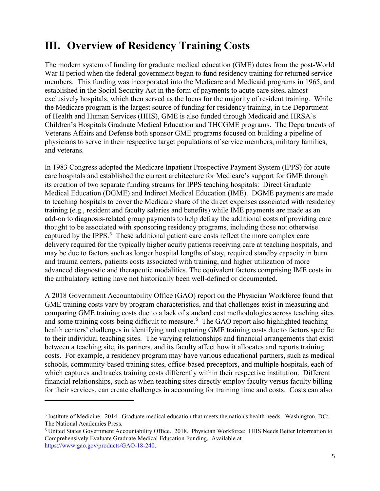### <span id="page-6-0"></span>**III. Overview of Residency Training Costs**

The modern system of funding for graduate medical education (GME) dates from the post-World War II period when the federal government began to fund residency training for returned service members. This funding was incorporated into the Medicare and Medicaid programs in 1965, and established in the Social Security Act in the form of payments to acute care sites, almost exclusively hospitals, which then served as the locus for the majority of resident training. While the Medicare program is the largest source of funding for residency training, in the Department of Health and Human Services (HHS), GME is also funded through Medicaid and HRSA's Children's Hospitals Graduate Medical Education and THCGME programs. The Departments of Veterans Affairs and Defense both sponsor GME programs focused on building a pipeline of physicians to serve in their respective target populations of service members, military families, and veterans.

In 1983 Congress adopted the Medicare Inpatient Prospective Payment System (IPPS) for acute care hospitals and established the current architecture for Medicare's support for GME through its creation of two separate funding streams for IPPS teaching hospitals: Direct Graduate Medical Education (DGME) and Indirect Medical Education (IME). DGME payments are made to teaching hospitals to cover the Medicare share of the direct expenses associated with residency training (e.g., resident and faculty salaries and benefits) while IME payments are made as an add-on to diagnosis-related group payments to help defray the additional costs of providing care thought to be associated with sponsoring residency programs, including those not otherwise captured by the IPPS.<sup>[5](#page-6-1)</sup> These additional patient care costs reflect the more complex care delivery required for the typically higher acuity patients receiving care at teaching hospitals, and may be due to factors such as longer hospital lengths of stay, required standby capacity in burn and trauma centers, patients costs associated with training, and higher utilization of more advanced diagnostic and therapeutic modalities. The equivalent factors comprising IME costs in the ambulatory setting have not historically been well-defined or documented.

A 2018 Government Accountability Office (GAO) report on the Physician Workforce found that GME training costs vary by program characteristics, and that challenges exist in measuring and comparing GME training costs due to a lack of standard cost methodologies across teaching sites and some training costs being difficult to measure.<sup>[6](#page-6-2)</sup> The GAO report also highlighted teaching health centers' challenges in identifying and capturing GME training costs due to factors specific to their individual teaching sites. The varying relationships and financial arrangements that exist between a teaching site, its partners, and its faculty affect how it allocates and reports training costs. For example, a residency program may have various educational partners, such as medical schools, community-based training sites, office-based preceptors, and multiple hospitals, each of which captures and tracks training costs differently within their respective institution. Different financial relationships, such as when teaching sites directly employ faculty versus faculty billing for their services, can create challenges in accounting for training time and costs. Costs can also

<span id="page-6-1"></span><sup>5</sup> Institute of Medicine. 2014. Graduate medical education that meets the nation's health needs. Washington, DC: The National Academies Press.

<span id="page-6-2"></span><sup>6</sup> United States Government Accountability Office. 2018. Physician Workforce: HHS Needs Better Information to Comprehensively Evaluate Graduate Medical Education Funding. Available at [https://www.gao.gov/products/GAO-18-240.](https://www.gao.gov/products/GAO-18-240)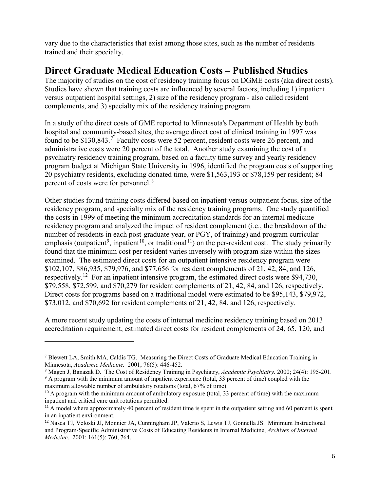vary due to the characteristics that exist among those sites, such as the number of residents trained and their specialty.

#### **Direct Graduate Medical Education Costs – Published Studies**

The majority of studies on the cost of residency training focus on DGME costs (aka direct costs). Studies have shown that training costs are influenced by several factors, including 1) inpatient versus outpatient hospital settings, 2) size of the residency program - also called resident complements, and 3) specialty mix of the residency training program.

In a study of the direct costs of GME reported to Minnesota's Department of Health by both hospital and community-based sites, the average direct cost of clinical training in 1997 was found to be \$130,843.<sup>[7](#page-7-0)</sup> Faculty costs were 52 percent, resident costs were 26 percent, and administrative costs were 20 percent of the total. Another study examining the cost of a psychiatry residency training program, based on a faculty time survey and yearly residency program budget at Michigan State University in 1996, identified the program costs of supporting 20 psychiatry residents, excluding donated time, were \$1,563,193 or \$78,159 per resident; 84 percent of costs were for personnel.[8](#page-7-1)

Other studies found training costs differed based on inpatient versus outpatient focus, size of the residency program, and specialty mix of the residency training programs. One study quantified the costs in 1999 of meeting the minimum accreditation standards for an internal medicine residency program and analyzed the impact of resident complement (i.e., the breakdown of the number of residents in each post-graduate year, or PGY, of training) and program curricular emphasis (outpatient<sup>[9](#page-7-2)</sup>, inpatient<sup>10</sup>, or traditional<sup>11</sup>) on the per-resident cost. The study primarily found that the minimum cost per resident varies inversely with program size within the sizes examined. The estimated direct costs for an outpatient intensive residency program were \$102,107, \$86,935, \$79,976, and \$77,656 for resident complements of 21, 42, 84, and 126, respectively.<sup>12</sup> For an inpatient intensive program, the estimated direct costs were \$94,730, \$79,558, \$72,599, and \$70,279 for resident complements of 21, 42, 84, and 126, respectively. Direct costs for programs based on a traditional model were estimated to be \$95,143, \$79,972, \$73,012, and \$70,692 for resident complements of 21, 42, 84, and 126, respectively.

A more recent study updating the costs of internal medicine residency training based on 2013 accreditation requirement, estimated direct costs for resident complements of 24, 65, 120, and

<span id="page-7-0"></span><sup>7</sup> Blewett LA, Smith MA, Caldis TG. Measuring the Direct Costs of Graduate Medical Education Training in Minnesota, *Academic Medicine.* 2001; 76(5): 446-452.

<span id="page-7-1"></span><sup>8</sup> Magen J, Banazak D. The Cost of Residency Training in Psychiatry, *Academic Psychiatry.* 2000; 24(4): 195-201.

<span id="page-7-2"></span> $9$  A program with the minimum amount of inpatient experience (total, 33 percent of time) coupled with the maximum allowable number of ambulatory rotations (total, 67% of time).

<span id="page-7-3"></span><sup>&</sup>lt;sup>10</sup> A program with the minimum amount of ambulatory exposure (total, 33 percent of time) with the maximum inpatient and critical care unit rotations permitted.

<span id="page-7-4"></span><sup>&</sup>lt;sup>11</sup> A model where approximately 40 percent of resident time is spent in the outpatient setting and 60 percent is spent in an inpatient environment.

<span id="page-7-5"></span><sup>12</sup> Nasca TJ, Veloski JJ, Monnier JA, Cunningham JP, Valerio S, Lewis TJ, Gonnella JS. Minimum Instructional and Program-Specific Administrative Costs of Educating Residents in Internal Medicine, *Archives of Internal Medicine*. 2001; 161(5): 760, 764.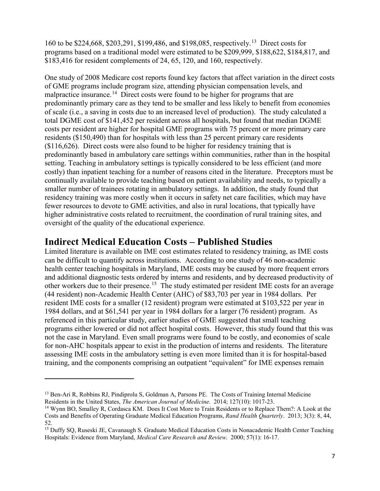160 to be \$224,668, \$203,291, \$199,486, and \$198,085, respectively.[13](#page-8-0) Direct costs for programs based on a traditional model were estimated to be \$209,999, \$188,622, \$184,817, and \$183,416 for resident complements of 24, 65, 120, and 160, respectively.

One study of 2008 Medicare cost reports found key factors that affect variation in the direct costs of GME programs include program size, attending physician compensation levels, and malpractice insurance.<sup>[14](#page-8-1)</sup> Direct costs were found to be higher for programs that are predominantly primary care as they tend to be smaller and less likely to benefit from economies of scale (i.e., a saving in costs due to an increased level of production). The study calculated a total DGME cost of \$141,452 per resident across all hospitals, but found that median DGME costs per resident are higher for hospital GME programs with 75 percent or more primary care residents (\$150,490) than for hospitals with less than 25 percent primary care residents (\$116,626). Direct costs were also found to be higher for residency training that is predominantly based in ambulatory care settings within communities, rather than in the hospital setting. Teaching in ambulatory settings is typically considered to be less efficient (and more costly) than inpatient teaching for a number of reasons cited in the literature. Preceptors must be continually available to provide teaching based on patient availability and needs, to typically a smaller number of trainees rotating in ambulatory settings. In addition, the study found that residency training was more costly when it occurs in safety net care facilities, which may have fewer resources to devote to GME activities, and also in rural locations, that typically have higher administrative costs related to recruitment, the coordination of rural training sites, and oversight of the quality of the educational experience.

#### **Indirect Medical Education Costs – Published Studies**

Limited literature is available on IME cost estimates related to residency training, as IME costs can be difficult to quantify across institutions. According to one study of 46 non-academic health center teaching hospitals in Maryland, IME costs may be caused by more frequent errors and additional diagnostic tests ordered by interns and residents, and by decreased productivity of other workers due to their presence.<sup>[15](#page-8-2)</sup> The study estimated per resident IME costs for an average (44 resident) non-Academic Health Center (AHC) of \$83,703 per year in 1984 dollars. Per resident IME costs for a smaller (12 resident) program were estimated at \$103,522 per year in 1984 dollars, and at \$61,541 per year in 1984 dollars for a larger (76 resident) program. As referenced in this particular study, earlier studies of GME suggested that small teaching programs either lowered or did not affect hospital costs. However, this study found that this was not the case in Maryland. Even small programs were found to be costly, and economies of scale for non-AHC hospitals appear to exist in the production of interns and residents. The literature assessing IME costs in the ambulatory setting is even more limited than it is for hospital-based training, and the components comprising an outpatient "equivalent" for IME expenses remain

<span id="page-8-0"></span><sup>&</sup>lt;sup>13</sup> Ben-Ari R, Robbins RJ, Pindiprolu S, Goldman A, Parsons PE. The Costs of Training Internal Medicine Residents in the United States, *The American Journal of Medicine.* 2014; 127(10): 1017-23.

<span id="page-8-1"></span><sup>14</sup> Wynn BO, Smalley R, Cordasca KM. Does It Cost More to Train Residents or to Replace Them?: A Look at the Costs and Benefits of Operating Graduate Medical Education Programs, *Rand Health Quarterly*. 2013; 3(3): 8, 44, 52.

<span id="page-8-2"></span><sup>&</sup>lt;sup>15</sup> Duffy SQ, Ruseski JE, Cavanaugh S. Graduate Medical Education Costs in Nonacademic Health Center Teaching Hospitals: Evidence from Maryland, *Medical Care Research and Review*. 2000; 57(1): 16-17.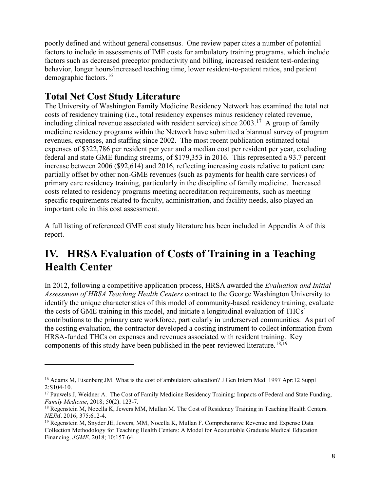poorly defined and without general consensus. One review paper cites a number of potential factors to include in assessments of IME costs for ambulatory training programs, which include factors such as decreased preceptor productivity and billing, increased resident test-ordering behavior, longer hours/increased teaching time, lower resident-to-patient ratios, and patient demographic factors.[16](#page-9-1) 

#### **Total Net Cost Study Literature**

 $\overline{a}$ 

The University of Washington Family Medicine Residency Network has examined the total net costs of residency training (i.e., total residency expenses minus residency related revenue, including clinical revenue associated with resident service) since 2003.<sup>17</sup> A group of family medicine residency programs within the Network have submitted a biannual survey of program revenues, expenses, and staffing since 2002. The most recent publication estimated total expenses of \$322,786 per resident per year and a median cost per resident per year, excluding federal and state GME funding streams, of \$179,353 in 2016. This represented a 93.7 percent increase between 2006 (\$92,614) and 2016, reflecting increasing costs relative to patient care partially offset by other non-GME revenues (such as payments for health care services) of primary care residency training, particularly in the discipline of family medicine. Increased costs related to residency programs meeting accreditation requirements, such as meeting specific requirements related to faculty, administration, and facility needs, also played an important role in this cost assessment.

A full listing of referenced GME cost study literature has been included in Appendix A of this report.

## <span id="page-9-0"></span>**IV. HRSA Evaluation of Costs of Training in a Teaching Health Center**

In 2012, following a competitive application process, HRSA awarded the *Evaluation and Initial Assessment of HRSA Teaching Health Centers* contract to the George Washington University to identify the unique characteristics of this model of community-based residency training, evaluate the costs of GME training in this model, and initiate a longitudinal evaluation of THCs' contributions to the primary care workforce, particularly in underserved communities. As part of the costing evaluation, the contractor developed a costing instrument to collect information from HRSA-funded THCs on expenses and revenues associated with resident training. Key components of this study have been published in the peer-reviewed literature.<sup>[18,](#page-9-3)[19](#page-9-4)</sup>

<span id="page-9-1"></span><sup>&</sup>lt;sup>16</sup> Adams M, Eisenberg JM. What is the cost of ambulatory education? J Gen Intern Med. 1997 Apr;12 Suppl 2:S104-10.

<span id="page-9-2"></span><sup>&</sup>lt;sup>17</sup> Pauwels J, Weidner A. The Cost of Family Medicine Residency Training: Impacts of Federal and State Funding, *Family Medicine*, 2018; 50(2): 123-7.

<span id="page-9-3"></span><sup>&</sup>lt;sup>18</sup> Regenstein M, Nocella K, Jewers MM, Mullan M. The Cost of Residency Training in Teaching Health Centers. *NEJM*. 2016; 375:612-4.

<span id="page-9-4"></span><sup>&</sup>lt;sup>19</sup> Regenstein M, Snyder JE, Jewers, MM, Nocella K, Mullan F. Comprehensive Revenue and Expense Data Collection Methodology for Teaching Health Centers: A Model for Accountable Graduate Medical Education Financing. *JGME*. 2018; 10:157-64.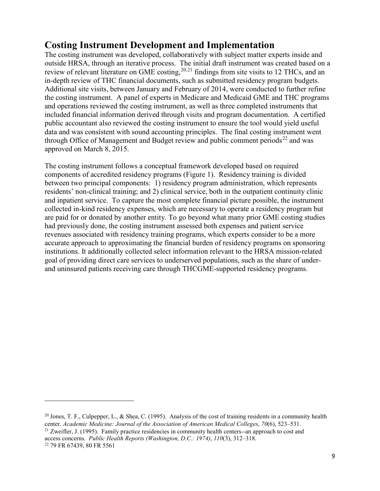#### **Costing Instrument Development and Implementation**

The costing instrument was developed, collaboratively with subject matter experts inside and outside HRSA, through an iterative process. The initial draft instrument was created based on a review of relevant literature on GME costing,<sup>[20,](#page-10-0)[21](#page-10-1)</sup> findings from site visits to 12 THCs, and an in-depth review of THC financial documents, such as submitted residency program budgets. Additional site visits, between January and February of 2014, were conducted to further refine the costing instrument. A panel of experts in Medicare and Medicaid GME and THC programs and operations reviewed the costing instrument, as well as three completed instruments that included financial information derived through visits and program documentation. A certified public accountant also reviewed the costing instrument to ensure the tool would yield useful data and was consistent with sound accounting principles. The final costing instrument went through Office of Management and Budget review and public comment periods<sup>[22](#page-10-2)</sup> and was approved on March 8, 2015.

The costing instrument follows a conceptual framework developed based on required components of accredited residency programs (Figure 1). Residency training is divided between two principal components: 1) residency program administration, which represents residents' non-clinical training; and 2) clinical service, both in the outpatient continuity clinic and inpatient service. To capture the most complete financial picture possible, the instrument collected in-kind residency expenses, which are necessary to operate a residency program but are paid for or donated by another entity. To go beyond what many prior GME costing studies had previously done, the costing instrument assessed both expenses and patient service revenues associated with residency training programs, which experts consider to be a more accurate approach to approximating the financial burden of residency programs on sponsoring institutions. It additionally collected select information relevant to the HRSA mission-related goal of providing direct care services to underserved populations, such as the share of underand uninsured patients receiving care through THCGME-supported residency programs.

<span id="page-10-0"></span><sup>&</sup>lt;sup>20</sup> Jones, T. F., Culpepper, L., & Shea, C. (1995). Analysis of the cost of training residents in a community health center. *Academic Medicine: Journal of the Association of American Medical Colleges*, *70*(6), 523–531.

<span id="page-10-2"></span><span id="page-10-1"></span><sup>&</sup>lt;sup>21</sup> Zweifler, J. (1995). Family practice residencies in community health centers--an approach to cost and access concerns. *Public Health Reports (Washington, D.C.: 1974)*, *110*(3), 312–318. <sup>22</sup> 79 FR 67439, 80 FR 5561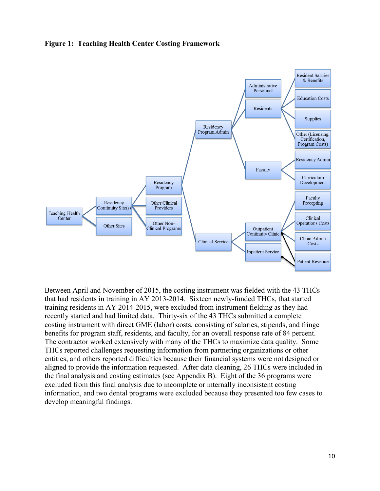#### **Figure 1: Teaching Health Center Costing Framework**



Between April and November of 2015, the costing instrument was fielded with the 43 THCs that had residents in training in AY 2013-2014. Sixteen newly-funded THCs, that started training residents in AY 2014-2015, were excluded from instrument fielding as they had recently started and had limited data. Thirty-six of the 43 THCs submitted a complete costing instrument with direct GME (labor) costs, consisting of salaries, stipends, and fringe benefits for program staff, residents, and faculty, for an overall response rate of 84 percent. The contractor worked extensively with many of the THCs to maximize data quality. Some THCs reported challenges requesting information from partnering organizations or other entities, and others reported difficulties because their financial systems were not designed or aligned to provide the information requested. After data cleaning, 26 THCs were included in the final analysis and costing estimates (see Appendix B). Eight of the 36 programs were excluded from this final analysis due to incomplete or internally inconsistent costing information, and two dental programs were excluded because they presented too few cases to develop meaningful findings.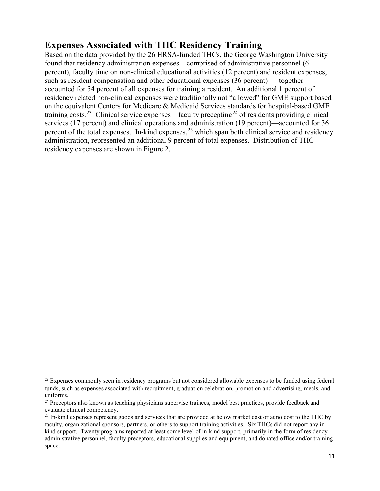### **Expenses Associated with THC Residency Training**

Based on the data provided by the 26 HRSA-funded THCs, the George Washington University found that residency administration expenses—comprised of administrative personnel (6 percent), faculty time on non-clinical educational activities (12 percent) and resident expenses, such as resident compensation and other educational expenses (36 percent) — together accounted for 54 percent of all expenses for training a resident. An additional 1 percent of residency related non-clinical expenses were traditionally not "allowed" for GME support based on the equivalent Centers for Medicare & Medicaid Services standards for hospital-based GME training costs.<sup>[23](#page-12-0)</sup> Clinical service expenses—faculty precepting<sup>[24](#page-12-1)</sup> of residents providing clinical services (17 percent) and clinical operations and administration (19 percent)—accounted for 36 percent of the total expenses. In-kind expenses,  $2<sup>5</sup>$  which span both clinical service and residency administration, represented an additional 9 percent of total expenses. Distribution of THC residency expenses are shown in Figure 2.

<span id="page-12-0"></span><sup>&</sup>lt;sup>23</sup> Expenses commonly seen in residency programs but not considered allowable expenses to be funded using federal funds, such as expenses associated with recruitment, graduation celebration, promotion and advertising, meals, and uniforms.

<span id="page-12-1"></span><sup>&</sup>lt;sup>24</sup> Preceptors also known as teaching physicians supervise trainees, model best practices, provide feedback and evaluate clinical competency.

<span id="page-12-2"></span><sup>&</sup>lt;sup>25</sup> In-kind expenses represent goods and services that are provided at below market cost or at no cost to the THC by faculty, organizational sponsors, partners, or others to support training activities. Six THCs did not report any inkind support. Twenty programs reported at least some level of in-kind support, primarily in the form of residency administrative personnel, faculty preceptors, educational supplies and equipment, and donated office and/or training space.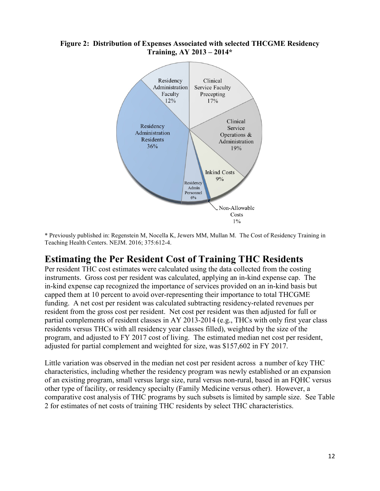#### **Figure 2: Distribution of Expenses Associated with selected THCGME Residency Training, AY 2013 – 2014\***



\* Previously published in: Regenstein M, Nocella K, Jewers MM, Mullan M. The Cost of Residency Training in Teaching Health Centers. NEJM. 2016; 375:612-4.

#### **Estimating the Per Resident Cost of Training THC Residents**

Per resident THC cost estimates were calculated using the data collected from the costing instruments. Gross cost per resident was calculated, applying an in-kind expense cap. The in-kind expense cap recognized the importance of services provided on an in-kind basis but capped them at 10 percent to avoid over-representing their importance to total THCGME funding. A net cost per resident was calculated subtracting residency-related revenues per resident from the gross cost per resident. Net cost per resident was then adjusted for full or partial complements of resident classes in AY 2013-2014 (e.g., THCs with only first year class residents versus THCs with all residency year classes filled), weighted by the size of the program, and adjusted to FY 2017 cost of living. The estimated median net cost per resident, adjusted for partial complement and weighted for size, was \$157,602 in FY 2017.

Little variation was observed in the median net cost per resident across a number of key THC characteristics, including whether the residency program was newly established or an expansion of an existing program, small versus large size, rural versus non-rural, based in an FQHC versus other type of facility, or residency specialty (Family Medicine versus other). However, a comparative cost analysis of THC programs by such subsets is limited by sample size. See Table 2 for estimates of net costs of training THC residents by select THC characteristics.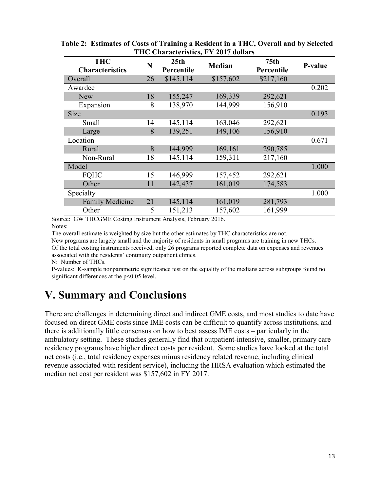| 1110 Characteristics, 1-1-401/ Gonars |    |                                |               |                                |         |  |
|---------------------------------------|----|--------------------------------|---------------|--------------------------------|---------|--|
| <b>THC</b><br><b>Characteristics</b>  | N  | 25 <sub>th</sub><br>Percentile | <b>Median</b> | 75 <sub>th</sub><br>Percentile | P-value |  |
| Overall                               | 26 | \$145,114                      | \$157,602     | \$217,160                      |         |  |
| Awardee                               |    |                                |               |                                | 0.202   |  |
| <b>New</b>                            | 18 | 155,247                        | 169,339       | 292,621                        |         |  |
| Expansion                             | 8  | 138,970                        | 144,999       | 156,910                        |         |  |
| Size                                  |    |                                |               |                                | 0.193   |  |
| Small                                 | 14 | 145,114                        | 163,046       | 292,621                        |         |  |
| Large                                 | 8  | 139,251                        | 149,106       | 156,910                        |         |  |
| Location                              |    |                                |               |                                | 0.671   |  |
| Rural                                 | 8  | 144,999                        | 169,161       | 290,785                        |         |  |
| Non-Rural                             | 18 | 145,114                        | 159,311       | 217,160                        |         |  |
| Model                                 |    |                                |               |                                | 1.000   |  |
| <b>FQHC</b>                           | 15 | 146,999                        | 157,452       | 292,621                        |         |  |
| Other                                 | 11 | 142,437                        | 161,019       | 174,583                        |         |  |
| Specialty                             |    |                                |               |                                | 1.000   |  |
| <b>Family Medicine</b>                | 21 | 145,114                        | 161,019       | 281,793                        |         |  |
| Other                                 | 5  | 151,213                        | 157,602       | 161,999                        |         |  |

| Table 2: Estimates of Costs of Training a Resident in a THC, Overall and by Selected |
|--------------------------------------------------------------------------------------|
| THC Characteristics, FY 2017 dollars                                                 |

Source: GW THCGME Costing Instrument Analysis, February 2016. Notes:

The overall estimate is weighted by size but the other estimates by THC characteristics are not.

New programs are largely small and the majority of residents in small programs are training in new THCs. Of the total costing instruments received, only 26 programs reported complete data on expenses and revenues associated with the residents' continuity outpatient clinics.

N: Number of THCs.

P-values: K-sample nonparametric significance test on the equality of the medians across subgroups found no significant differences at the p<0.05 level.

## <span id="page-14-0"></span>**V. Summary and Conclusions**

There are challenges in determining direct and indirect GME costs, and most studies to date have focused on direct GME costs since IME costs can be difficult to quantify across institutions, and there is additionally little consensus on how to best assess IME costs – particularly in the ambulatory setting. These studies generally find that outpatient-intensive, smaller, primary care residency programs have higher direct costs per resident. Some studies have looked at the total net costs (i.e., total residency expenses minus residency related revenue, including clinical revenue associated with resident service), including the HRSA evaluation which estimated the median net cost per resident was \$157,602 in FY 2017.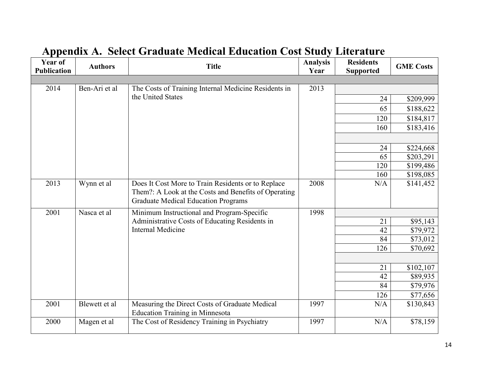<span id="page-15-0"></span>

| <b>Year of</b><br><b>Publication</b> | <b>Authors</b> | <b>Title</b>                                                                                                                                             | <b>Analysis</b><br>Year | <b>Residents</b><br><b>Supported</b> | <b>GME Costs</b> |
|--------------------------------------|----------------|----------------------------------------------------------------------------------------------------------------------------------------------------------|-------------------------|--------------------------------------|------------------|
|                                      |                |                                                                                                                                                          |                         |                                      |                  |
| 2014                                 | Ben-Ari et al  | The Costs of Training Internal Medicine Residents in                                                                                                     | 2013                    |                                      |                  |
|                                      |                | the United States                                                                                                                                        |                         | 24                                   | \$209,999        |
|                                      |                |                                                                                                                                                          |                         | 65                                   | \$188,622        |
|                                      |                |                                                                                                                                                          |                         | 120                                  | \$184,817        |
|                                      |                |                                                                                                                                                          |                         | 160                                  | \$183,416        |
|                                      |                |                                                                                                                                                          |                         |                                      |                  |
|                                      |                |                                                                                                                                                          |                         | 24                                   | \$224,668        |
|                                      |                |                                                                                                                                                          |                         | 65                                   | \$203,291        |
|                                      |                |                                                                                                                                                          |                         | 120                                  | \$199,486        |
|                                      |                |                                                                                                                                                          |                         | 160                                  | \$198,085        |
| 2013                                 | Wynn et al     | Does It Cost More to Train Residents or to Replace<br>Them?: A Look at the Costs and Benefits of Operating<br><b>Graduate Medical Education Programs</b> | 2008                    | N/A                                  | \$141,452        |
| 2001                                 | Nasca et al    | Minimum Instructional and Program-Specific                                                                                                               | 1998                    |                                      |                  |
|                                      |                | Administrative Costs of Educating Residents in                                                                                                           |                         | 21                                   | \$95,143         |
|                                      |                | <b>Internal Medicine</b>                                                                                                                                 |                         | 42                                   | \$79,972         |
|                                      |                |                                                                                                                                                          |                         | 84                                   | \$73,012         |
|                                      |                |                                                                                                                                                          |                         | 126                                  | \$70,692         |
|                                      |                |                                                                                                                                                          |                         |                                      |                  |
|                                      |                |                                                                                                                                                          |                         | 21                                   | \$102,107        |
|                                      |                |                                                                                                                                                          |                         | 42                                   | \$89,935         |
|                                      |                |                                                                                                                                                          |                         | 84                                   | \$79,976         |
|                                      |                |                                                                                                                                                          |                         | 126                                  | \$77,656         |
| 2001                                 | Blewett et al  | Measuring the Direct Costs of Graduate Medical<br><b>Education Training in Minnesota</b>                                                                 | 1997                    | N/A                                  | \$130,843        |
| 2000                                 | Magen et al    | The Cost of Residency Training in Psychiatry                                                                                                             | 1997                    | N/A                                  | \$78,159         |

# **Appendix A. Select Graduate Medical Education Cost Study Literature**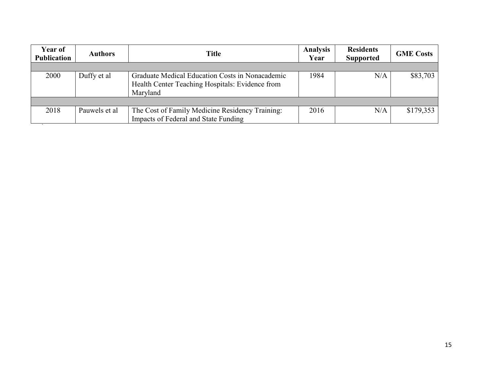| Year of<br><b>Publication</b> | <b>Authors</b> | <b>Title</b>                                                                                                   | <b>Analysis</b><br>Year | <b>Residents</b><br><b>Supported</b> | <b>GME Costs</b> |
|-------------------------------|----------------|----------------------------------------------------------------------------------------------------------------|-------------------------|--------------------------------------|------------------|
|                               |                |                                                                                                                |                         |                                      |                  |
| 2000                          | Duffy et al    | Graduate Medical Education Costs in Nonacademic<br>Health Center Teaching Hospitals: Evidence from<br>Maryland | 1984                    | N/A                                  | \$83,703         |
|                               |                |                                                                                                                |                         |                                      |                  |
| 2018                          | Pauwels et al  | The Cost of Family Medicine Residency Training:<br>Impacts of Federal and State Funding                        | 2016                    | N/A                                  | \$179,353        |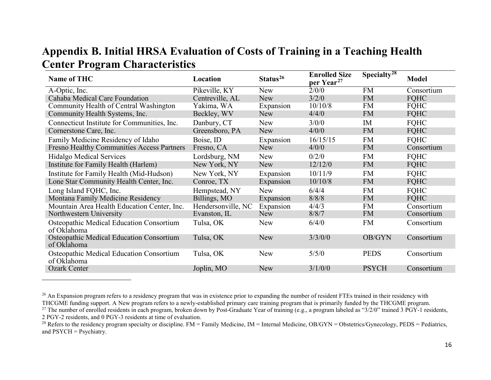### <span id="page-17-3"></span><span id="page-17-2"></span><span id="page-17-1"></span>**Appendix B. Initial HRSA Evaluation of Costs of Training in a Teaching Health Center Program Characteristics**

<span id="page-17-0"></span>

| <b>Name of THC</b>                                             | Location           | Status <sup>26</sup> | <b>Enrolled Size</b><br>per Year <sup>27</sup> | Specialty <sup>28</sup> | <b>Model</b> |
|----------------------------------------------------------------|--------------------|----------------------|------------------------------------------------|-------------------------|--------------|
| A-Optic, Inc.                                                  | Pikeville, KY      | New                  | 2/0/0                                          | <b>FM</b>               | Consortium   |
| Cahaba Medical Care Foundation                                 | Centreville, AL    | <b>New</b>           | 3/2/0                                          | <b>FM</b>               | <b>FQHC</b>  |
| Community Health of Central Washington                         | Yakima, WA         | Expansion            | 10/10/8                                        | <b>FM</b>               | <b>FQHC</b>  |
| Community Health Systems, Inc.                                 | Beckley, WV        | <b>New</b>           | 4/4/0                                          | <b>FM</b>               | FQHC         |
| Connecticut Institute for Communities, Inc.                    | Danbury, CT        | <b>New</b>           | 3/0/0                                          | IM                      | <b>FQHC</b>  |
| Cornerstone Care, Inc.                                         | Greensboro, PA     | <b>New</b>           | 4/0/0                                          | <b>FM</b>               | <b>FQHC</b>  |
| Family Medicine Residency of Idaho                             | Boise, ID          | Expansion            | 16/15/15                                       | <b>FM</b>               | <b>FQHC</b>  |
| <b>Fresno Healthy Communities Access Partners</b>              | Fresno, CA         | New                  | 4/0/0                                          | <b>FM</b>               | Consortium   |
| Hidalgo Medical Services                                       | Lordsburg, NM      | <b>New</b>           | 0/2/0                                          | <b>FM</b>               | <b>FQHC</b>  |
| Institute for Family Health (Harlem)                           | New York, NY       | New                  | 12/12/0                                        | <b>FM</b>               | <b>FQHC</b>  |
| Institute for Family Health (Mid-Hudson)                       | New York, NY       | Expansion            | 10/11/9                                        | <b>FM</b>               | <b>FQHC</b>  |
| Lone Star Community Health Center, Inc.                        | Conroe, TX         | Expansion            | 10/10/8                                        | <b>FM</b>               | FQHC         |
| Long Island FQHC, Inc.                                         | Hempstead, NY      | <b>New</b>           | 6/4/4                                          | <b>FM</b>               | <b>FOHC</b>  |
| Montana Family Medicine Residency                              | Billings, MO       | Expansion            | 8/8/8                                          | <b>FM</b>               | FQHC         |
| Mountain Area Health Education Center, Inc.                    | Hendersonville, NC | Expansion            | 4/4/3                                          | <b>FM</b>               | Consortium   |
| Northwestern University                                        | Evanston, IL       | <b>New</b>           | 8/8/7                                          | <b>FM</b>               | Consortium   |
| Osteopathic Medical Education Consortium<br>of Oklahoma        | Tulsa, OK          | <b>New</b>           | 6/4/0                                          | <b>FM</b>               | Consortium   |
| Osteopathic Medical Education Consortium<br>of Oklahoma        | Tulsa, OK          | <b>New</b>           | 3/3/0/0                                        | OB/GYN                  | Consortium   |
| <b>Osteopathic Medical Education Consortium</b><br>of Oklahoma | Tulsa, OK          | <b>New</b>           | 5/5/0                                          | <b>PEDS</b>             | Consortium   |
| <b>Ozark Center</b>                                            | Joplin, MO         | <b>New</b>           | 3/1/0/0                                        | <b>PSYCH</b>            | Consortium   |
|                                                                |                    |                      |                                                |                         |              |

<sup>&</sup>lt;sup>26</sup> An Expansion program refers to a residency program that was in existence prior to expanding the number of resident FTEs trained in their residency with THCGME funding support. A New program refers to a newly-establish

<sup>&</sup>lt;sup>27</sup> The number of enrolled residents in each program, broken down by Post-Graduate Year of training (e.g., a program labeled as "3/2/0" trained 3 PGY-1 residents, 2 PGY-2 residents, and 0 PGY-3 residents at time of evaluation.

<sup>&</sup>lt;sup>28</sup> Refers to the residency program specialty or discipline. FM = Family Medicine, IM = Internal Medicine, OB/GYN = Obstetrics/Gynecology, PEDS = Pediatrics, and PSYCH = Psychiatry.